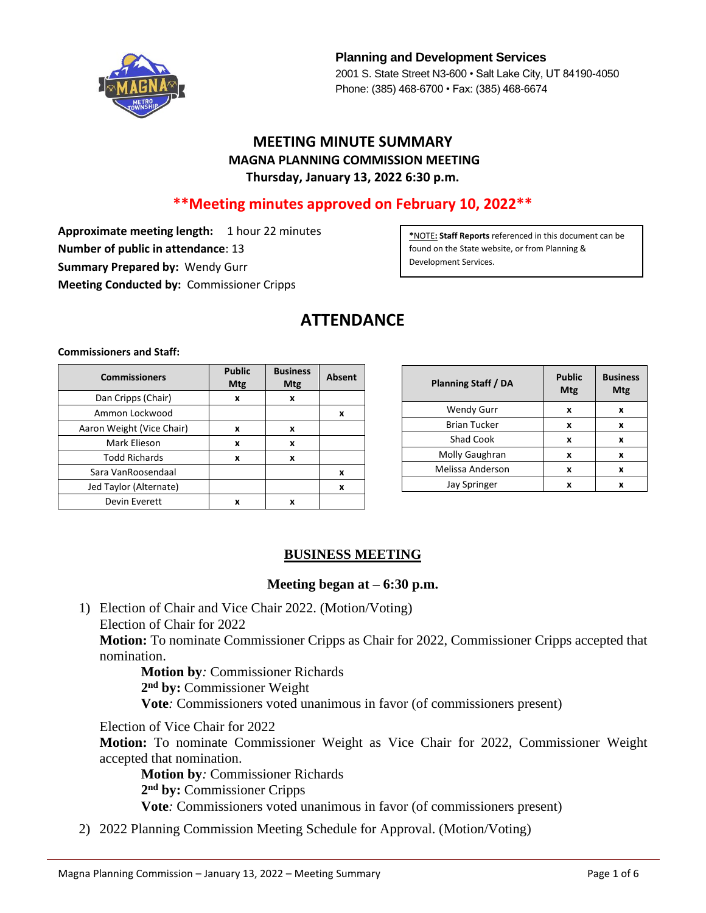

**Planning and Development Services** 2001 S. State Street N3-600 • Salt Lake City, UT 84190-4050 Phone: (385) 468-6700 • Fax: (385) 468-6674

# **MEETING MINUTE SUMMARY MAGNA PLANNING COMMISSION MEETING Thursday, January 13, 2022 6:30 p.m.**

# **\*\*Meeting minutes approved on February 10, 2022\*\***

**Approximate meeting length:** 1 hour 22 minutes **Number of public in attendance**: 13 **Summary Prepared by:** Wendy Gurr **Meeting Conducted by:** Commissioner Cripps

**\***NOTE**: Staff Reports** referenced in this document can be found on the State website, or from Planning & Development Services.

# **ATTENDANCE**

**Commissioners and Staff:**

| <b>Commissioners</b>      | <b>Public</b><br>Mtg | <b>Business</b><br><b>Mtg</b> | <b>Absent</b> |
|---------------------------|----------------------|-------------------------------|---------------|
| Dan Cripps (Chair)        | x                    | x                             |               |
| Ammon Lockwood            |                      |                               | x             |
| Aaron Weight (Vice Chair) | x                    | x                             |               |
| Mark Elieson              | x                    | x                             |               |
| <b>Todd Richards</b>      | X                    | x                             |               |
| Sara VanRoosendaal        |                      |                               | x             |
| Jed Taylor (Alternate)    |                      |                               | x             |
| Devin Everett             | x                    | x                             |               |

| <b>Planning Staff / DA</b> | <b>Public</b><br>Mtg | <b>Business</b><br>Mtg |
|----------------------------|----------------------|------------------------|
| <b>Wendy Gurr</b>          | x                    | x                      |
| <b>Brian Tucker</b>        | x                    | x                      |
| <b>Shad Cook</b>           | X                    | x                      |
| Molly Gaughran             | x                    | x                      |
| Melissa Anderson           | x                    | x                      |
| <b>Jay Springer</b>        | x                    | x                      |

#### **BUSINESS MEETING**

#### **Meeting began at – 6:30 p.m.**

1) Election of Chair and Vice Chair 2022. (Motion/Voting) Election of Chair for 2022 **Motion:** To nominate Commissioner Cripps as Chair for 2022, Commissioner Cripps accepted that nomination.

 **Motion by***:* Commissioner Richards **2 nd by:** Commissioner Weight **Vote***:* Commissioners voted unanimous in favor (of commissioners present)

Election of Vice Chair for 2022

**Motion:** To nominate Commissioner Weight as Vice Chair for 2022, Commissioner Weight accepted that nomination.

**Motion by***:* Commissioner Richards **2 nd by:** Commissioner Cripps **Vote***:* Commissioners voted unanimous in favor (of commissioners present)

2) 2022 Planning Commission Meeting Schedule for Approval. (Motion/Voting)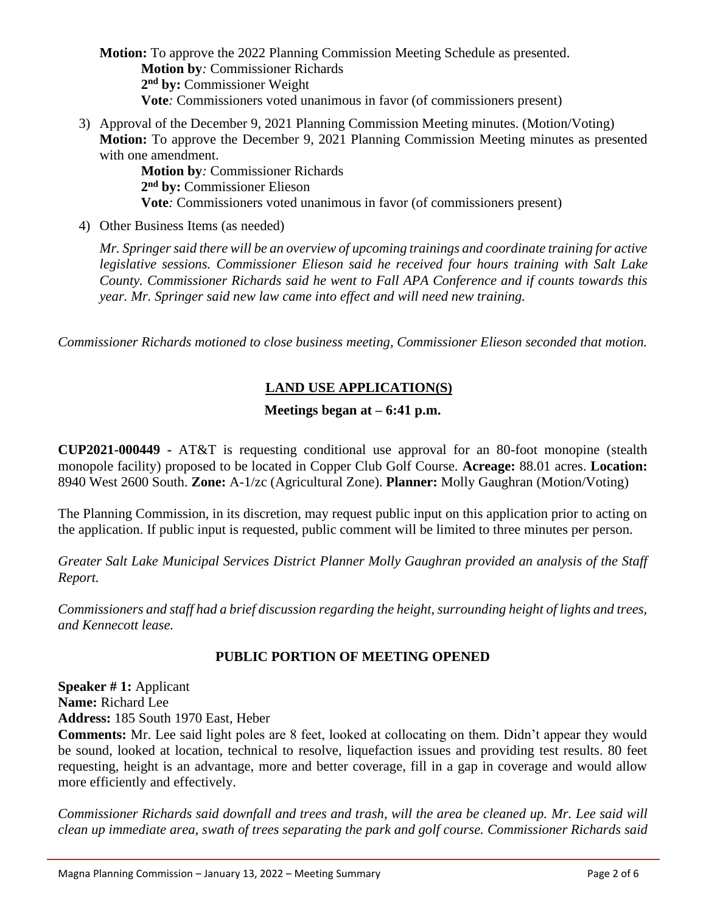**Motion:** To approve the 2022 Planning Commission Meeting Schedule as presented. **Motion by***:* Commissioner Richards **2 nd by:** Commissioner Weight **Vote***:* Commissioners voted unanimous in favor (of commissioners present)

3) Approval of the December 9, 2021 Planning Commission Meeting minutes. (Motion/Voting) **Motion:** To approve the December 9, 2021 Planning Commission Meeting minutes as presented with one amendment.

**Motion by***:* Commissioner Richards **2 nd by:** Commissioner Elieson **Vote***:* Commissioners voted unanimous in favor (of commissioners present)

4) Other Business Items (as needed)

*Mr. Springer said there will be an overview of upcoming trainings and coordinate training for active legislative sessions. Commissioner Elieson said he received four hours training with Salt Lake County. Commissioner Richards said he went to Fall APA Conference and if counts towards this year. Mr. Springer said new law came into effect and will need new training.*

*Commissioner Richards motioned to close business meeting, Commissioner Elieson seconded that motion.*

# **LAND USE APPLICATION(S)**

# **Meetings began at – 6:41 p.m.**

**CUP2021-000449 -** AT&T is requesting conditional use approval for an 80-foot monopine (stealth monopole facility) proposed to be located in Copper Club Golf Course. **Acreage:** 88.01 acres. **Location:** 8940 West 2600 South. **Zone:** A-1/zc (Agricultural Zone). **Planner:** Molly Gaughran (Motion/Voting)

The Planning Commission, in its discretion, may request public input on this application prior to acting on the application. If public input is requested, public comment will be limited to three minutes per person.

*Greater Salt Lake Municipal Services District Planner Molly Gaughran provided an analysis of the Staff Report.*

*Commissioners and staff had a brief discussion regarding the height, surrounding height of lights and trees, and Kennecott lease.*

# **PUBLIC PORTION OF MEETING OPENED**

**Speaker # 1:** Applicant **Name:** Richard Lee **Address:** 185 South 1970 East, Heber

**Comments:** Mr. Lee said light poles are 8 feet, looked at collocating on them. Didn't appear they would be sound, looked at location, technical to resolve, liquefaction issues and providing test results. 80 feet requesting, height is an advantage, more and better coverage, fill in a gap in coverage and would allow more efficiently and effectively.

*Commissioner Richards said downfall and trees and trash, will the area be cleaned up. Mr. Lee said will clean up immediate area, swath of trees separating the park and golf course. Commissioner Richards said*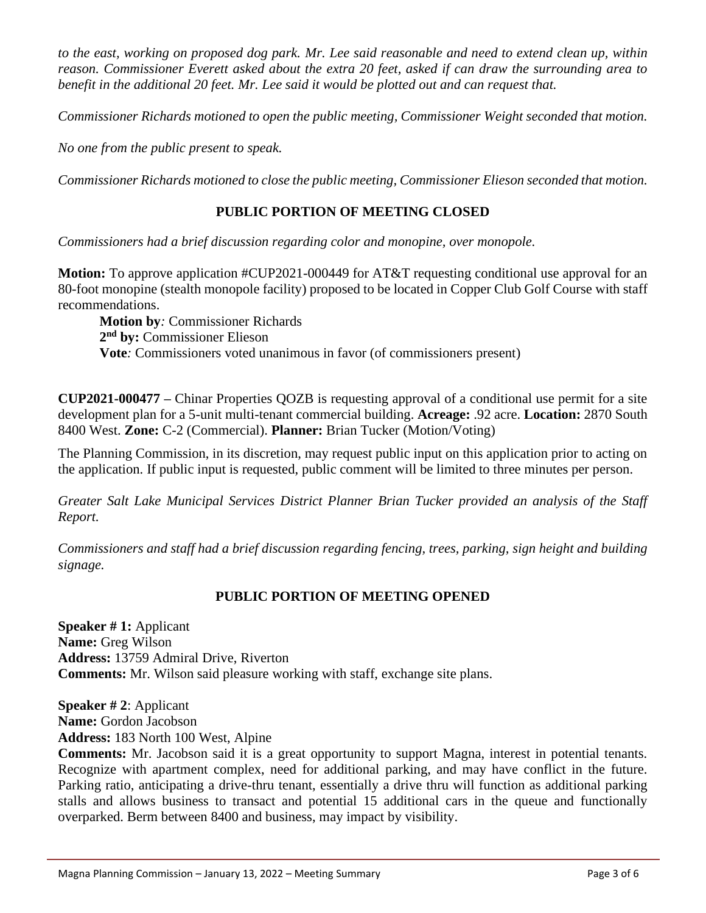*to the east, working on proposed dog park. Mr. Lee said reasonable and need to extend clean up, within reason. Commissioner Everett asked about the extra 20 feet, asked if can draw the surrounding area to benefit in the additional 20 feet. Mr. Lee said it would be plotted out and can request that.*

*Commissioner Richards motioned to open the public meeting, Commissioner Weight seconded that motion.*

*No one from the public present to speak.*

*Commissioner Richards motioned to close the public meeting, Commissioner Elieson seconded that motion.*

#### **PUBLIC PORTION OF MEETING CLOSED**

*Commissioners had a brief discussion regarding color and monopine, over monopole.*

**Motion:** To approve application #CUP2021-000449 for AT&T requesting conditional use approval for an 80-foot monopine (stealth monopole facility) proposed to be located in Copper Club Golf Course with staff recommendations.

**Motion by***:* Commissioner Richards **2 nd by:** Commissioner Elieson **Vote***:* Commissioners voted unanimous in favor (of commissioners present)

**CUP2021-000477 –** Chinar Properties QOZB is requesting approval of a conditional use permit for a site development plan for a 5-unit multi-tenant commercial building. **Acreage:** .92 acre. **Location:** 2870 South 8400 West. **Zone:** C-2 (Commercial). **Planner:** Brian Tucker (Motion/Voting)

The Planning Commission, in its discretion, may request public input on this application prior to acting on the application. If public input is requested, public comment will be limited to three minutes per person.

*Greater Salt Lake Municipal Services District Planner Brian Tucker provided an analysis of the Staff Report.*

*Commissioners and staff had a brief discussion regarding fencing, trees, parking, sign height and building signage.*

#### **PUBLIC PORTION OF MEETING OPENED**

**Speaker # 1:** Applicant **Name:** Greg Wilson **Address:** 13759 Admiral Drive, Riverton **Comments:** Mr. Wilson said pleasure working with staff, exchange site plans.

**Speaker # 2**: Applicant **Name:** Gordon Jacobson **Address:** 183 North 100 West, Alpine

**Comments:** Mr. Jacobson said it is a great opportunity to support Magna, interest in potential tenants. Recognize with apartment complex, need for additional parking, and may have conflict in the future. Parking ratio, anticipating a drive-thru tenant, essentially a drive thru will function as additional parking stalls and allows business to transact and potential 15 additional cars in the queue and functionally overparked. Berm between 8400 and business, may impact by visibility.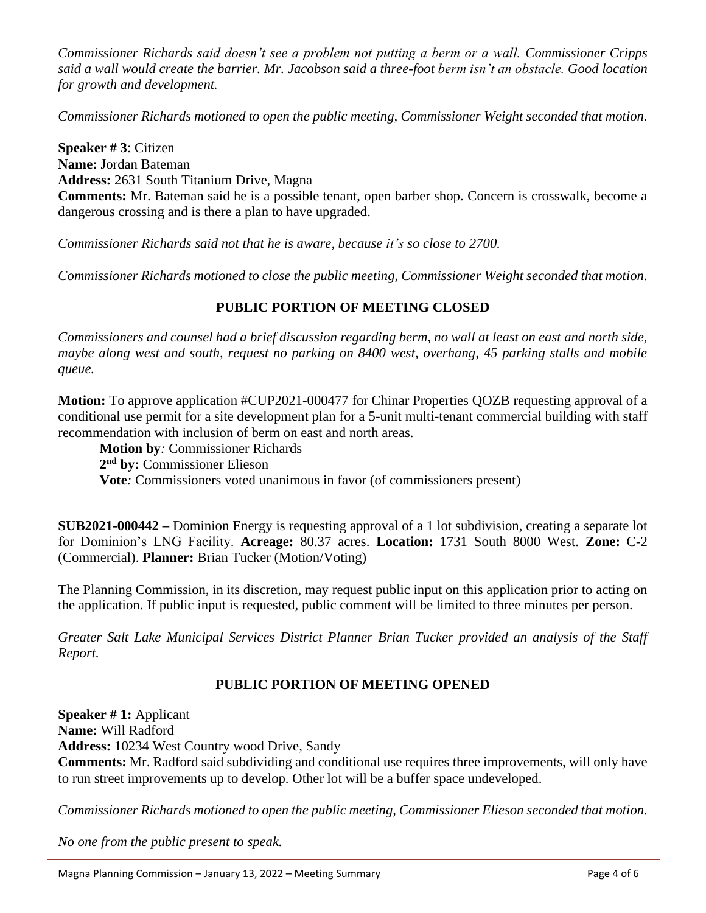*Commissioner Richards said doesn't see a problem not putting a berm or a wall. Commissioner Cripps said a wall would create the barrier. Mr. Jacobson said a three-foot berm isn't an obstacle. Good location for growth and development.* 

*Commissioner Richards motioned to open the public meeting, Commissioner Weight seconded that motion.*

**Speaker # 3**: Citizen **Name:** Jordan Bateman **Address:** 2631 South Titanium Drive, Magna **Comments:** Mr. Bateman said he is a possible tenant, open barber shop. Concern is crosswalk, become a dangerous crossing and is there a plan to have upgraded.

*Commissioner Richards said not that he is aware, because it's so close to 2700.*

*Commissioner Richards motioned to close the public meeting, Commissioner Weight seconded that motion.*

# **PUBLIC PORTION OF MEETING CLOSED**

*Commissioners and counsel had a brief discussion regarding berm, no wall at least on east and north side, maybe along west and south, request no parking on 8400 west, overhang, 45 parking stalls and mobile queue.*

**Motion:** To approve application #CUP2021-000477 for Chinar Properties QOZB requesting approval of a conditional use permit for a site development plan for a 5-unit multi-tenant commercial building with staff recommendation with inclusion of berm on east and north areas.

**Motion by***:* Commissioner Richards

**2 nd by:** Commissioner Elieson

**Vote***:* Commissioners voted unanimous in favor (of commissioners present)

**SUB2021-000442 –** Dominion Energy is requesting approval of a 1 lot subdivision, creating a separate lot for Dominion's LNG Facility. **Acreage:** 80.37 acres. **Location:** 1731 South 8000 West. **Zone:** C-2 (Commercial). **Planner:** Brian Tucker (Motion/Voting)

The Planning Commission, in its discretion, may request public input on this application prior to acting on the application. If public input is requested, public comment will be limited to three minutes per person.

*Greater Salt Lake Municipal Services District Planner Brian Tucker provided an analysis of the Staff Report.*

# **PUBLIC PORTION OF MEETING OPENED**

**Speaker # 1:** Applicant **Name:** Will Radford **Address:** 10234 West Country wood Drive, Sandy **Comments:** Mr. Radford said subdividing and conditional use requires three improvements, will only have to run street improvements up to develop. Other lot will be a buffer space undeveloped.

*Commissioner Richards motioned to open the public meeting, Commissioner Elieson seconded that motion.*

*No one from the public present to speak.*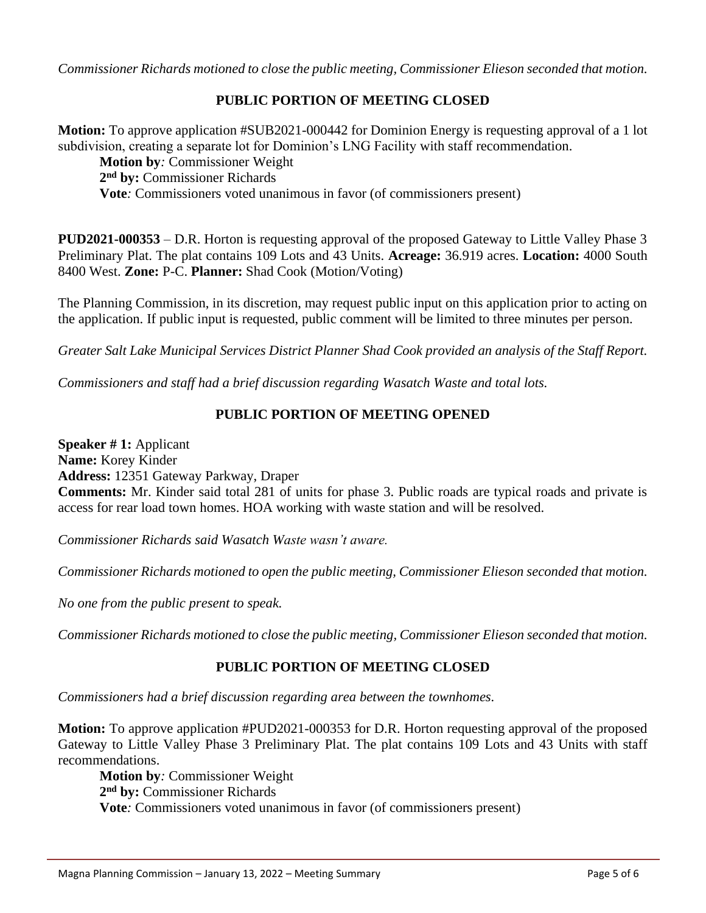*Commissioner Richards motioned to close the public meeting, Commissioner Elieson seconded that motion.*

#### **PUBLIC PORTION OF MEETING CLOSED**

**Motion:** To approve application #SUB2021-000442 for Dominion Energy is requesting approval of a 1 lot subdivision, creating a separate lot for Dominion's LNG Facility with staff recommendation.

**Motion by***:* Commissioner Weight **2 nd by:** Commissioner Richards **Vote***:* Commissioners voted unanimous in favor (of commissioners present)

**PUD2021-000353** – D.R. Horton is requesting approval of the proposed Gateway to Little Valley Phase 3 Preliminary Plat. The plat contains 109 Lots and 43 Units. **Acreage:** 36.919 acres. **Location:** 4000 South 8400 West. **Zone:** P-C. **Planner:** Shad Cook (Motion/Voting)

The Planning Commission, in its discretion, may request public input on this application prior to acting on the application. If public input is requested, public comment will be limited to three minutes per person.

*Greater Salt Lake Municipal Services District Planner Shad Cook provided an analysis of the Staff Report.*

*Commissioners and staff had a brief discussion regarding Wasatch Waste and total lots.*

### **PUBLIC PORTION OF MEETING OPENED**

**Speaker # 1:** Applicant **Name:** Korey Kinder **Address:** 12351 Gateway Parkway, Draper **Comments:** Mr. Kinder said total 281 of units for phase 3. Public roads are typical roads and private is access for rear load town homes. HOA working with waste station and will be resolved.

*Commissioner Richards said Wasatch Waste wasn't aware.*

*Commissioner Richards motioned to open the public meeting, Commissioner Elieson seconded that motion.*

*No one from the public present to speak.*

*Commissioner Richards motioned to close the public meeting, Commissioner Elieson seconded that motion.*

#### **PUBLIC PORTION OF MEETING CLOSED**

*Commissioners had a brief discussion regarding area between the townhomes.*

**Motion:** To approve application #PUD2021-000353 for D.R. Horton requesting approval of the proposed Gateway to Little Valley Phase 3 Preliminary Plat. The plat contains 109 Lots and 43 Units with staff recommendations.

**Motion by***:* Commissioner Weight **2 nd by:** Commissioner Richards **Vote***:* Commissioners voted unanimous in favor (of commissioners present)